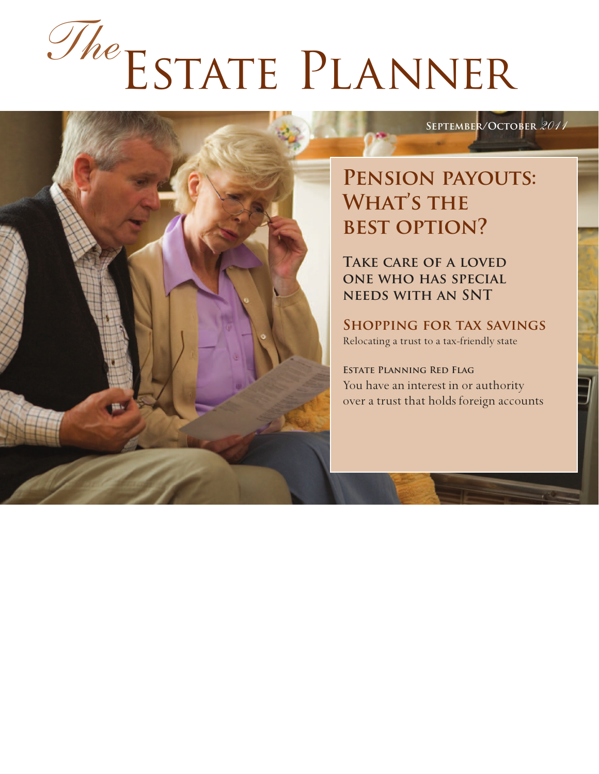# Estate Planner *The*

#### **September/October** *2011*

**Pension payouts:**  WHAT'S THE **BEST OPTION?** 

**Take care of a loved one who has special needs with an SNT**

**Shopping for tax savings** Relocating a trust to a tax-friendly state

**Estate Planning Red Flag** You have an interest in or authority over a trust that holds foreign accounts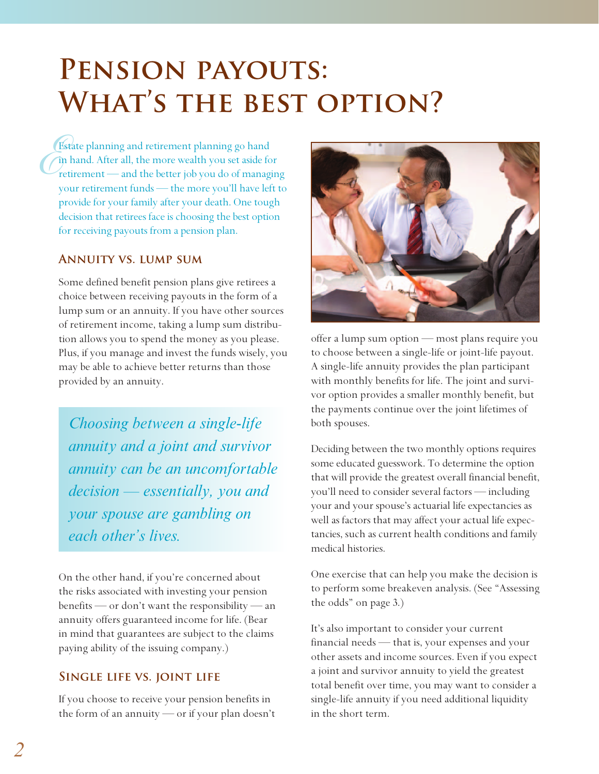# PENSION PAYOUTS: **What's the best option?**

E<br>Circle Estate planning and retirement planning go hand in hand. After all, the more wealth you set aside for retirement — and the better job you do of managing your retirement funds — the more you'll have left to provide for your family after your death. One tough decision that retirees face is choosing the best option for receiving payouts from a pension plan.

#### **Annuity vs. lump sum**

Some defined benefit pension plans give retirees a choice between receiving payouts in the form of a lump sum or an annuity. If you have other sources of retirement income, taking a lump sum distribution allows you to spend the money as you please. Plus, if you manage and invest the funds wisely, you may be able to achieve better returns than those provided by an annuity.

*Choosing between a single-life annuity and a joint and survivor annuity can be an uncomfortable decision — essentially, you and your spouse are gambling on each other's lives.*

On the other hand, if you're concerned about the risks associated with investing your pension benefits — or don't want the responsibility — an annuity offers guaranteed income for life. (Bear in mind that guarantees are subject to the claims paying ability of the issuing company.)

#### **Single life vs. joint life**

If you choose to receive your pension benefits in the form of an annuity — or if your plan doesn't



offer a lump sum option — most plans require you to choose between a single-life or joint-life payout. A single-life annuity provides the plan participant with monthly benefits for life. The joint and survivor option provides a smaller monthly benefit, but the payments continue over the joint lifetimes of both spouses.

Deciding between the two monthly options requires some educated guesswork. To determine the option that will provide the greatest overall financial benefit, you'll need to consider several factors — including your and your spouse's actuarial life expectancies as well as factors that may affect your actual life expectancies, such as current health conditions and family medical histories.

One exercise that can help you make the decision is to perform some breakeven analysis. (See "Assessing the odds" on page 3.)

It's also important to consider your current financial needs — that is, your expenses and your other assets and income sources. Even if you expect a joint and survivor annuity to yield the greatest total benefit over time, you may want to consider a single-life annuity if you need additional liquidity in the short term.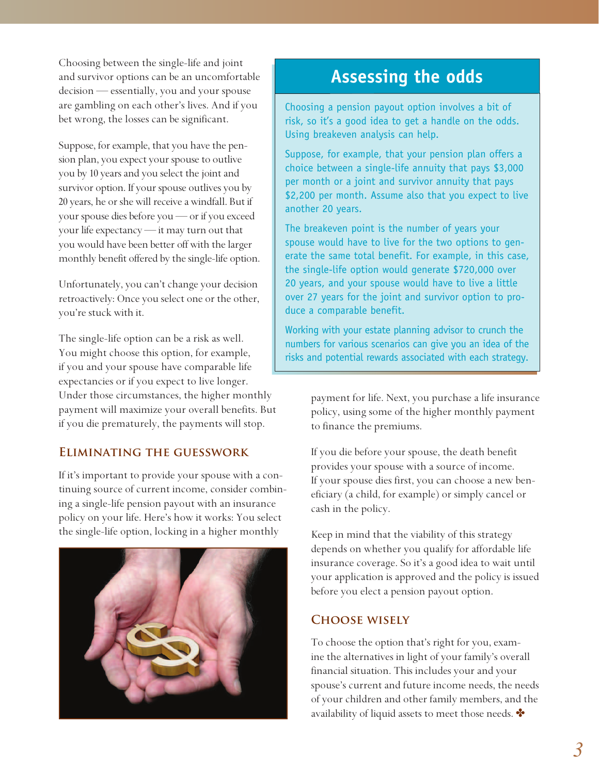Choosing between the single-life and joint and survivor options can be an uncomfortable decision — essentially, you and your spouse are gambling on each other's lives. And if you bet wrong, the losses can be significant.

Suppose, for example, that you have the pension plan, you expect your spouse to outlive you by 10 years and you select the joint and survivor option. If your spouse outlives you by 20 years, he or she will receive a windfall. But if your spouse dies before you — or if you exceed your life expectancy — it may turn out that you would have been better off with the larger monthly benefit offered by the single-life option.

Unfortunately, you can't change your decision retroactively: Once you select one or the other, you're stuck with it.

The single-life option can be a risk as well. You might choose this option, for example, if you and your spouse have comparable life expectancies or if you expect to live longer. Under those circumstances, the higher monthly payment will maximize your overall benefits. But if you die prematurely, the payments will stop.

#### **Eliminating the guesswork**

If it's important to provide your spouse with a continuing source of current income, consider combining a single-life pension payout with an insurance policy on your life. Here's how it works: You select the single-life option, locking in a higher monthly



### **Assessing the odds**

Choosing a pension payout option involves a bit of risk, so it's a good idea to get a handle on the odds. Using breakeven analysis can help.

Suppose, for example, that your pension plan offers a choice between a single-life annuity that pays \$3,000 per month or a joint and survivor annuity that pays \$2,200 per month. Assume also that you expect to live another 20 years.

The breakeven point is the number of years your spouse would have to live for the two options to generate the same total benefit. For example, in this case, the single-life option would generate \$720,000 over 20 years, and your spouse would have to live a little over 27 years for the joint and survivor option to produce a comparable benefit.

Working with your estate planning advisor to crunch the numbers for various scenarios can give you an idea of the risks and potential rewards associated with each strategy.

> payment for life. Next, you purchase a life insurance policy, using some of the higher monthly payment to finance the premiums.

If you die before your spouse, the death benefit provides your spouse with a source of income. If your spouse dies first, you can choose a new beneficiary (a child, for example) or simply cancel or cash in the policy.

Keep in mind that the viability of this strategy depends on whether you qualify for affordable life insurance coverage. So it's a good idea to wait until your application is approved and the policy is issued before you elect a pension payout option.

#### **Choose wisely**

To choose the option that's right for you, examine the alternatives in light of your family's overall financial situation. This includes your and your spouse's current and future income needs, the needs of your children and other family members, and the availability of liquid assets to meet those needs.  $\clubsuit$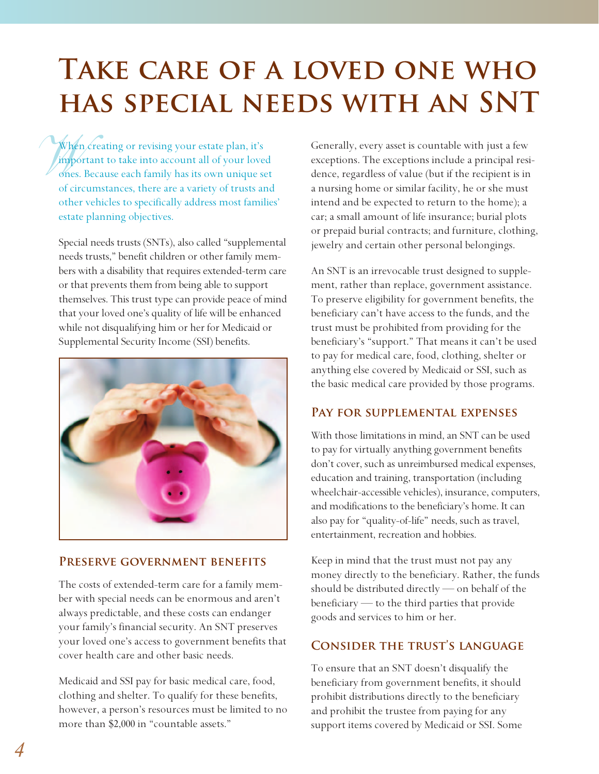# TAKE CARE OF A LOVED ONE WHO **has special needs with an SNT**

When When creating or revising your estate plan, it's important to take into account all of your loved ones. Because each family has its own unique set of circumstances, there are a variety of trusts and other vehicles to specifically address most families' estate planning objectives.

Special needs trusts (SNTs), also called "supplemental needs trusts," benefit children or other family members with a disability that requires extended-term care or that prevents them from being able to support themselves. This trust type can provide peace of mind that your loved one's quality of life will be enhanced while not disqualifying him or her for Medicaid or Supplemental Security Income (SSI) benefits.



#### **Preserve government benefits**

The costs of extended-term care for a family member with special needs can be enormous and aren't always predictable, and these costs can endanger your family's financial security. An SNT preserves your loved one's access to government benefits that cover health care and other basic needs.

Medicaid and SSI pay for basic medical care, food, clothing and shelter. To qualify for these benefits, however, a person's resources must be limited to no more than \$2,000 in "countable assets."

Generally, every asset is countable with just a few exceptions. The exceptions include a principal residence, regardless of value (but if the recipient is in a nursing home or similar facility, he or she must intend and be expected to return to the home); a car; a small amount of life insurance; burial plots or prepaid burial contracts; and furniture, clothing, jewelry and certain other personal belongings.

An SNT is an irrevocable trust designed to supplement, rather than replace, government assistance. To preserve eligibility for government benefits, the beneficiary can't have access to the funds, and the trust must be prohibited from providing for the beneficiary's "support." That means it can't be used to pay for medical care, food, clothing, shelter or anything else covered by Medicaid or SSI, such as the basic medical care provided by those programs.

#### **Pay for supplemental expenses**

With those limitations in mind, an SNT can be used to pay for virtually anything government benefits don't cover, such as unreimbursed medical expenses, education and training, transportation (including wheelchair-accessible vehicles), insurance, computers, and modifications to the beneficiary's home. It can also pay for "quality-of-life" needs, such as travel, entertainment, recreation and hobbies.

Keep in mind that the trust must not pay any money directly to the beneficiary. Rather, the funds should be distributed directly — on behalf of the beneficiary — to the third parties that provide goods and services to him or her.

#### **Consider the trust's language**

To ensure that an SNT doesn't disqualify the beneficiary from government benefits, it should prohibit distributions directly to the beneficiary and prohibit the trustee from paying for any support items covered by Medicaid or SSI. Some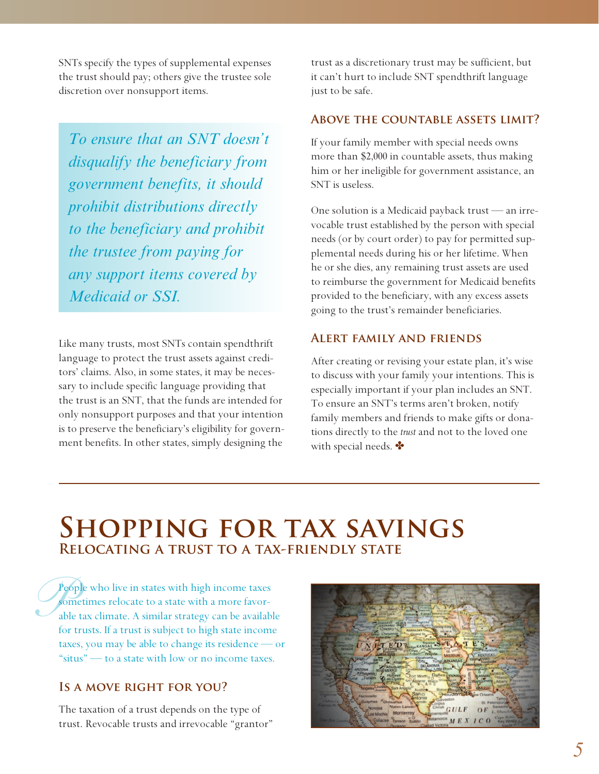SNTs specify the types of supplemental expenses the trust should pay; others give the trustee sole discretion over nonsupport items.

*To ensure that an SNT doesn't disqualify the beneficiary from government benefits, it should prohibit distributions directly to the beneficiary and prohibit the trustee from paying for any support items covered by Medicaid or SSI.*

Like many trusts, most SNTs contain spendthrift language to protect the trust assets against creditors' claims. Also, in some states, it may be necessary to include specific language providing that the trust is an SNT, that the funds are intended for only nonsupport purposes and that your intention is to preserve the beneficiary's eligibility for government benefits. In other states, simply designing the

trust as a discretionary trust may be sufficient, but it can't hurt to include SNT spendthrift language just to be safe.

#### **Above the countable assets limit?**

If your family member with special needs owns more than \$2,000 in countable assets, thus making him or her ineligible for government assistance, an SNT is useless.

One solution is a Medicaid payback trust — an irrevocable trust established by the person with special needs (or by court order) to pay for permitted supplemental needs during his or her lifetime. When he or she dies, any remaining trust assets are used to reimburse the government for Medicaid benefits provided to the beneficiary, with any excess assets going to the trust's remainder beneficiaries.

#### **Alert family and friends**

After creating or revising your estate plan, it's wise to discuss with your family your intentions. This is especially important if your plan includes an SNT. To ensure an SNT's terms aren't broken, notify family members and friends to make gifts or donations directly to the *trust* and not to the loved one with special needs.  $\bullet$ 

## **Shopping for tax savings Relocating a trust to a tax-friendly state**

*P*eon<br>able People who live in states with high income taxes sometimes relocate to a state with a more favorable tax climate. A similar strategy can be available for trusts. If a trust is subject to high state income taxes, you may be able to change its residence — or "situs" — to a state with low or no income taxes.

#### **Is a move right for you?**

The taxation of a trust depends on the type of trust. Revocable trusts and irrevocable "grantor"

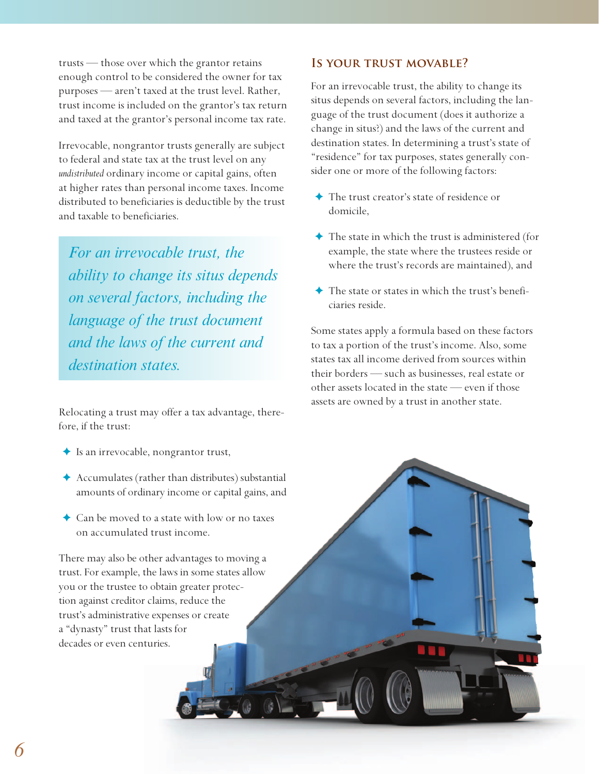trusts — those over which the grantor retains enough control to be considered the owner for tax purposes — aren't taxed at the trust level. Rather, trust income is included on the grantor's tax return and taxed at the grantor's personal income tax rate.

Irrevocable, nongrantor trusts generally are subject to federal and state tax at the trust level on any *undistributed* ordinary income or capital gains, often at higher rates than personal income taxes. Income distributed to beneficiaries is deductible by the trust and taxable to beneficiaries.

*For an irrevocable trust, the ability to change its situs depends on several factors, including the language of the trust document and the laws of the current and destination states.*

Relocating a trust may offer a tax advantage, therefore, if the trust:

- ✦ Is an irrevocable, nongrantor trust,
- ✦ Accumulates (rather than distributes) substantial amounts of ordinary income or capital gains, and
- ✦ Can be moved to a state with low or no taxes on accumulated trust income.

There may also be other advantages to moving a trust. For example, the laws in some states allow you or the trustee to obtain greater protection against creditor claims, reduce the trust's administrative expenses or create a "dynasty" trust that lasts for decades or even centuries.

#### **Is your trust movable?**

For an irrevocable trust, the ability to change its situs depends on several factors, including the language of the trust document (does it authorize a change in situs?) and the laws of the current and destination states. In determining a trust's state of "residence" for tax purposes, states generally consider one or more of the following factors:

- ✦ The trust creator's state of residence or domicile,
- ✦ The state in which the trust is administered (for example, the state where the trustees reside or where the trust's records are maintained), and
- The state or states in which the trust's beneficiaries reside.

Some states apply a formula based on these factors to tax a portion of the trust's income. Also, some states tax all income derived from sources within their borders — such as businesses, real estate or other assets located in the state — even if those assets are owned by a trust in another state.